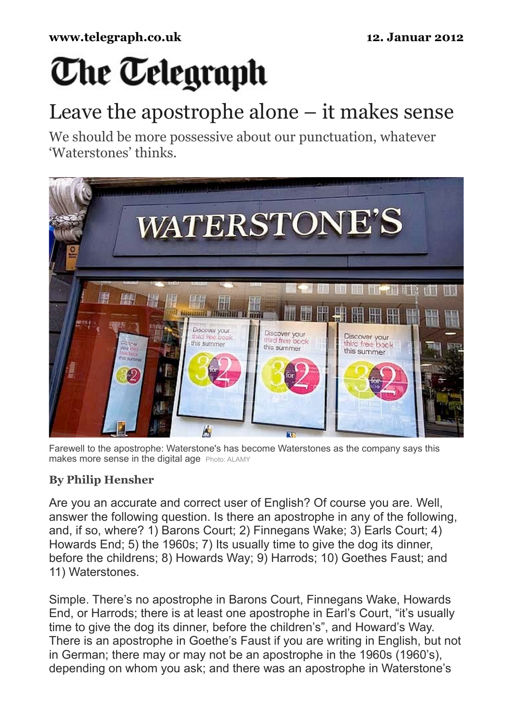# **The Telegraph**

# Leave the apostrophe alone – it makes sense

We should be more possessive about our punctuation, whatever 'Waterstones' thinks.



Farewell to the apostrophe: Waterstone's has become Waterstones as the company says this makes more sense in the digital age Photo: ALAMY

## **By Philip Hensher**

Are you an accurate and correct user of English? Of course you are. Well, answer the following question. Is there an apostrophe in any of the following, and, if so, where? 1) Barons Court; 2) Finnegans Wake; 3) Earls Court; 4) Howards End; 5) the 1960s; 7) Its usually time to give the dog its dinner, before the childrens; 8) Howards Way; 9) Harrods; 10) Goethes Faust; and 11) Waterstones.

Simple. There's no apostrophe in Barons Court, Finnegans Wake, Howards End, or Harrods; there is at least one apostrophe in Earl's Court, "it's usually time to give the dog its dinner, before the children's", and Howard's Way. There is an apostrophe in Goethe's Faust if you are writing in English, but not in German; there may or may not be an apostrophe in the 1960s (1960's), depending on whom you ask; and there was an apostrophe in Waterstone's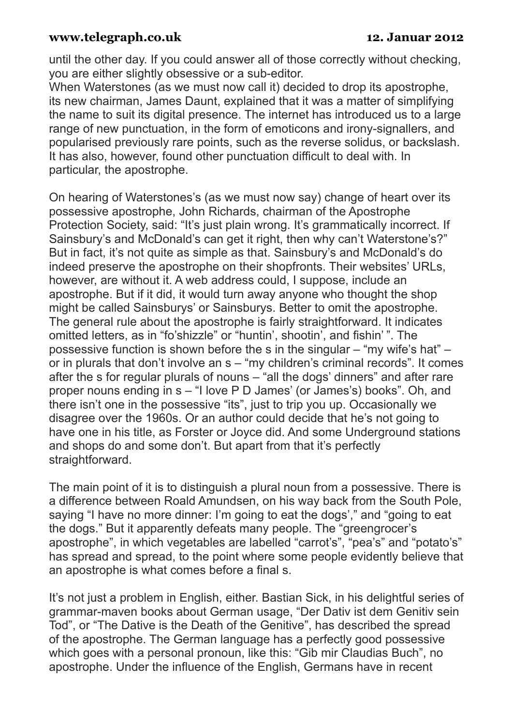### **www.telegraph.co.uk 12. Januar 2012**

until the other day. If you could answer all of those correctly without checking, you are either slightly obsessive or a sub-editor.

When Waterstones (as we must now call it) decided to drop its apostrophe, its new chairman, James Daunt, explained that it was a matter of simplifying the name to suit its digital presence. The internet has introduced us to a large range of new punctuation, in the form of emoticons and irony-signallers, and popularised previously rare points, such as the reverse solidus, or backslash. It has also, however, found other punctuation difficult to deal with. In particular, the apostrophe.

On hearing of Waterstones's (as we must now say) change of heart over its possessive apostrophe, John Richards, chairman of the Apostrophe Protection Society, said: "It's just plain wrong. It's grammatically incorrect. If Sainsbury's and McDonald's can get it right, then why can't Waterstone's?" But in fact, it's not quite as simple as that. Sainsbury's and McDonald's do indeed preserve the apostrophe on their shopfronts. Their websites' URLs, however, are without it. A web address could, I suppose, include an apostrophe. But if it did, it would turn away anyone who thought the shop might be called Sainsburys' or Sainsburys. Better to omit the apostrophe. The general rule about the apostrophe is fairly straightforward. It indicates omitted letters, as in "fo'shizzle" or "huntin', shootin', and fishin' ". The possessive function is shown before the s in the singular – "my wife's hat" – or in plurals that don't involve an s – "my children's criminal records". It comes after the s for regular plurals of nouns – "all the dogs' dinners" and after rare proper nouns ending in s – "I love P D James' (or James's) books". Oh, and there isn't one in the possessive "its", just to trip you up. Occasionally we disagree over the 1960s. Or an author could decide that he's not going to have one in his title, as Forster or Joyce did. And some Underground stations and shops do and some don't. But apart from that it's perfectly straightforward.

The main point of it is to distinguish a plural noun from a possessive. There is a difference between Roald Amundsen, on his way back from the South Pole, saying "I have no more dinner: I'm going to eat the dogs'," and "going to eat the dogs." But it apparently defeats many people. The "greengrocer's apostrophe", in which vegetables are labelled "carrot's", "pea's" and "potato's" has spread and spread, to the point where some people evidently believe that an apostrophe is what comes before a final s.

It's not just a problem in English, either. Bastian Sick, in his delightful series of grammar-maven books about German usage, "Der Dativ ist dem Genitiv sein Tod", or "The Dative is the Death of the Genitive", has described the spread of the apostrophe. The German language has a perfectly good possessive which goes with a personal pronoun, like this: "Gib mir Claudias Buch", no apostrophe. Under the influence of the English, Germans have in recent